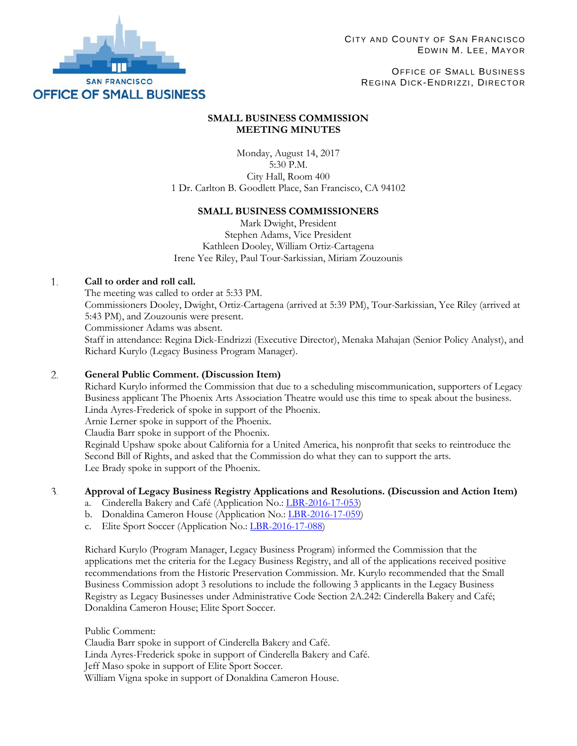

OFFICE OF SMALL BUSINESS REGINA DICK-ENDRIZZI, DIRECTOR

# **SMALL BUSINESS COMMISSION MEETING MINUTES**

Monday, August 14, 2017 5:30 P.M. City Hall, Room 400 1 Dr. Carlton B. Goodlett Place, San Francisco, CA 94102

## **SMALL BUSINESS COMMISSIONERS**

Mark Dwight, President Stephen Adams, Vice President Kathleen Dooley, William Ortiz-Cartagena Irene Yee Riley, Paul Tour-Sarkissian, Miriam Zouzounis

### 1. **Call to order and roll call.**

The meeting was called to order at 5:33 PM. Commissioners Dooley, Dwight, Ortiz-Cartagena (arrived at 5:39 PM), Tour-Sarkissian, Yee Riley (arrived at 5:43 PM), and Zouzounis were present. Commissioner Adams was absent. Staff in attendance: Regina Dick-Endrizzi (Executive Director), Menaka Mahajan (Senior Policy Analyst), and Richard Kurylo (Legacy Business Program Manager).

### $2.$ **General Public Comment. (Discussion Item)**

Richard Kurylo informed the Commission that due to a scheduling miscommunication, supporters of Legacy Business applicant The Phoenix Arts Association Theatre would use this time to speak about the business. Linda Ayres-Frederick of spoke in support of the Phoenix.

Arnie Lerner spoke in support of the Phoenix.

Claudia Barr spoke in support of the Phoenix.

Reginald Upshaw spoke about California for a United America, his nonprofit that seeks to reintroduce the Second Bill of Rights, and asked that the Commission do what they can to support the arts. Lee Brady spoke in support of the Phoenix.

### 3. **Approval of Legacy Business Registry Applications and Resolutions. (Discussion and Action Item)**

- a. Cinderella Bakery and Café (Application No.[: LBR-2016-17-053\)](http://sfosb.org/sites/default/files/Legacy%20Business/SBC%20Hearings/Item%203a.%20LBR-2016-17-053%20Cinderella%20Bakery.pdf)
- b. Donaldina Cameron House (Application No.[: LBR-2016-17-059\)](http://sfosb.org/sites/default/files/Legacy%20Business/SBC%20Hearings/Item%203b.%20LBR-2016-17-059%20Donaldina%20Cameron%20House.pdf)
- c. Elite Sport Soccer (Application No.: [LBR-2016-17-088\)](http://sfosb.org/sites/default/files/Legacy%20Business/SBC%20Hearings/Item%203c.%20LBR-2016-17-088%20Elite%20Sport%20Soccer.pdf)

Richard Kurylo (Program Manager, Legacy Business Program) informed the Commission that the applications met the criteria for the Legacy Business Registry, and all of the applications received positive recommendations from the Historic Preservation Commission. Mr. Kurylo recommended that the Small Business Commission adopt 3 resolutions to include the following 3 applicants in the Legacy Business Registry as Legacy Businesses under Administrative Code Section 2A.242: Cinderella Bakery and Café; Donaldina Cameron House; Elite Sport Soccer.

Public Comment: Claudia Barr spoke in support of Cinderella Bakery and Café. Linda Ayres-Frederick spoke in support of Cinderella Bakery and Café. Jeff Maso spoke in support of Elite Sport Soccer. William Vigna spoke in support of Donaldina Cameron House.

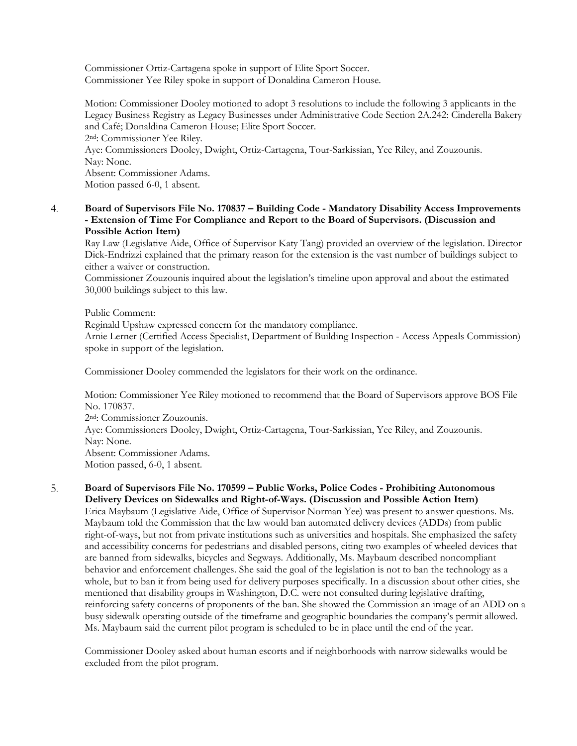Commissioner Ortiz-Cartagena spoke in support of Elite Sport Soccer. Commissioner Yee Riley spoke in support of Donaldina Cameron House.

Motion: Commissioner Dooley motioned to adopt 3 resolutions to include the following 3 applicants in the Legacy Business Registry as Legacy Businesses under Administrative Code Section 2A.242: Cinderella Bakery and Café; Donaldina Cameron House; Elite Sport Soccer. 2nd: Commissioner Yee Riley. Aye: Commissioners Dooley, Dwight, Ortiz-Cartagena, Tour-Sarkissian, Yee Riley, and Zouzounis. Nay: None. Absent: Commissioner Adams. Motion passed 6-0, 1 absent.

**Board of Supervisors File No. 170837 – Building Code - Mandatory Disability Access Improvements**  4. **- Extension of Time For Compliance and Report to the Board of Supervisors. (Discussion and Possible Action Item)**

Ray Law (Legislative Aide, Office of Supervisor Katy Tang) provided an overview of the legislation. Director Dick-Endrizzi explained that the primary reason for the extension is the vast number of buildings subject to either a waiver or construction.

Commissioner Zouzounis inquired about the legislation's timeline upon approval and about the estimated 30,000 buildings subject to this law.

Public Comment:

Reginald Upshaw expressed concern for the mandatory compliance.

Arnie Lerner (Certified Access Specialist, Department of Building Inspection - Access Appeals Commission) spoke in support of the legislation.

Commissioner Dooley commended the legislators for their work on the ordinance.

Motion: Commissioner Yee Riley motioned to recommend that the Board of Supervisors approve BOS File No. 170837.

2nd: Commissioner Zouzounis. Aye: Commissioners Dooley, Dwight, Ortiz-Cartagena, Tour-Sarkissian, Yee Riley, and Zouzounis. Nay: None. Absent: Commissioner Adams. Motion passed, 6-0, 1 absent.

5. **Board of Supervisors File No. 170599 – Public Works, Police Codes - Prohibiting Autonomous Delivery Devices on Sidewalks and Right-of-Ways. (Discussion and Possible Action Item)** Erica Maybaum (Legislative Aide, Office of Supervisor Norman Yee) was present to answer questions. Ms. Maybaum told the Commission that the law would ban automated delivery devices (ADDs) from public right-of-ways, but not from private institutions such as universities and hospitals. She emphasized the safety and accessibility concerns for pedestrians and disabled persons, citing two examples of wheeled devices that are banned from sidewalks, bicycles and Segways. Additionally, Ms. Maybaum described noncompliant behavior and enforcement challenges. She said the goal of the legislation is not to ban the technology as a whole, but to ban it from being used for delivery purposes specifically. In a discussion about other cities, she mentioned that disability groups in Washington, D.C. were not consulted during legislative drafting, reinforcing safety concerns of proponents of the ban. She showed the Commission an image of an ADD on a busy sidewalk operating outside of the timeframe and geographic boundaries the company's permit allowed. Ms. Maybaum said the current pilot program is scheduled to be in place until the end of the year.

Commissioner Dooley asked about human escorts and if neighborhoods with narrow sidewalks would be excluded from the pilot program.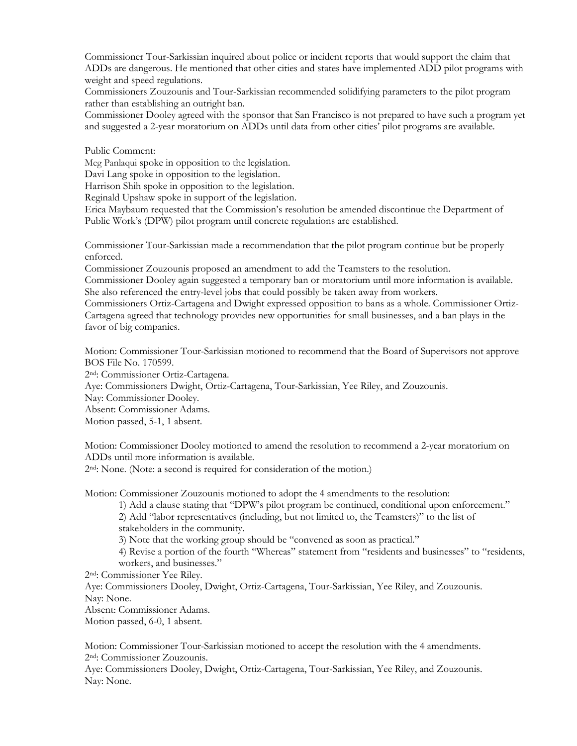Commissioner Tour-Sarkissian inquired about police or incident reports that would support the claim that ADDs are dangerous. He mentioned that other cities and states have implemented ADD pilot programs with weight and speed regulations.

Commissioners Zouzounis and Tour-Sarkissian recommended solidifying parameters to the pilot program rather than establishing an outright ban.

Commissioner Dooley agreed with the sponsor that San Francisco is not prepared to have such a program yet and suggested a 2-year moratorium on ADDs until data from other cities' pilot programs are available.

Public Comment:

Meg Panlaqui spoke in opposition to the legislation.

Davi Lang spoke in opposition to the legislation.

Harrison Shih spoke in opposition to the legislation.

Reginald Upshaw spoke in support of the legislation.

Erica Maybaum requested that the Commission's resolution be amended discontinue the Department of Public Work's (DPW) pilot program until concrete regulations are established.

Commissioner Tour-Sarkissian made a recommendation that the pilot program continue but be properly enforced.

Commissioner Zouzounis proposed an amendment to add the Teamsters to the resolution.

Commissioner Dooley again suggested a temporary ban or moratorium until more information is available. She also referenced the entry-level jobs that could possibly be taken away from workers.

Commissioners Ortiz-Cartagena and Dwight expressed opposition to bans as a whole. Commissioner Ortiz-Cartagena agreed that technology provides new opportunities for small businesses, and a ban plays in the favor of big companies.

Motion: Commissioner Tour-Sarkissian motioned to recommend that the Board of Supervisors not approve BOS File No. 170599.

2nd: Commissioner Ortiz-Cartagena.

Aye: Commissioners Dwight, Ortiz-Cartagena, Tour-Sarkissian, Yee Riley, and Zouzounis.

Nay: Commissioner Dooley.

Absent: Commissioner Adams.

Motion passed, 5-1, 1 absent.

Motion: Commissioner Dooley motioned to amend the resolution to recommend a 2-year moratorium on ADDs until more information is available.

2nd: None. (Note: a second is required for consideration of the motion.)

Motion: Commissioner Zouzounis motioned to adopt the 4 amendments to the resolution:

1) Add a clause stating that "DPW's pilot program be continued, conditional upon enforcement."

2) Add "labor representatives (including, but not limited to, the Teamsters)" to the list of stakeholders in the community.

3) Note that the working group should be "convened as soon as practical."

4) Revise a portion of the fourth "Whereas" statement from "residents and businesses" to "residents, workers, and businesses."

2nd: Commissioner Yee Riley.

Aye: Commissioners Dooley, Dwight, Ortiz-Cartagena, Tour-Sarkissian, Yee Riley, and Zouzounis. Nay: None.

Absent: Commissioner Adams.

Motion passed, 6-0, 1 absent.

Motion: Commissioner Tour-Sarkissian motioned to accept the resolution with the 4 amendments. 2nd: Commissioner Zouzounis.

Aye: Commissioners Dooley, Dwight, Ortiz-Cartagena, Tour-Sarkissian, Yee Riley, and Zouzounis. Nay: None.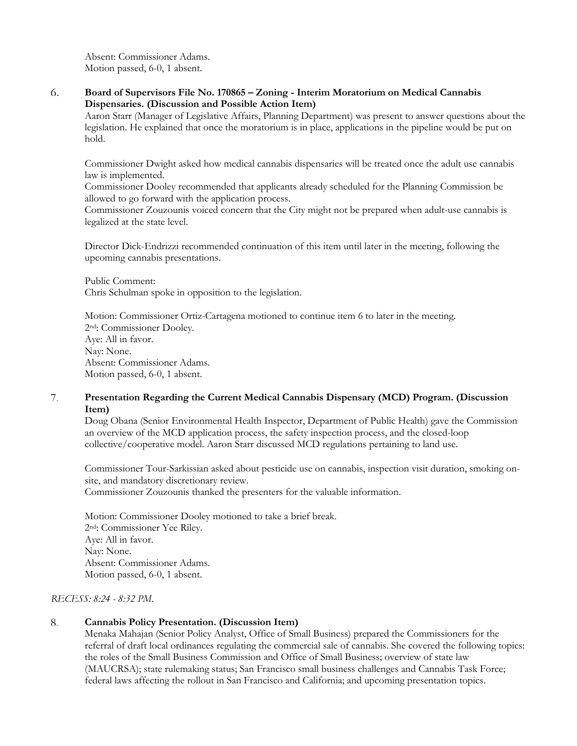Absent: Commissioner Adams. Motion passed, 6-0, 1 absent.

6. **Board of Supervisors File No. 170865 – Zoning - Interim Moratorium on Medical Cannabis Dispensaries. (Discussion and Possible Action Item)**

Aaron Starr (Manager of Legislative Affairs, Planning Department) was present to answer questions about the legislation. He explained that once the moratorium is in place, applications in the pipeline would be put on hold.

Commissioner Dwight asked how medical cannabis dispensaries will be treated once the adult use cannabis law is implemented.

Commissioner Dooley recommended that applicants already scheduled for the Planning Commission be allowed to go forward with the application process.

Commissioner Zouzounis voiced concern that the City might not be prepared when adult-use cannabis is legalized at the state level.

Director Dick-Endrizzi recommended continuation of this item until later in the meeting, following the upcoming cannabis presentations.

Public Comment: Chris Schulman spoke in opposition to the legislation.

Motion: Commissioner Ortiz-Cartagena motioned to continue item 6 to later in the meeting. 2nd: Commissioner Dooley. Aye: All in favor. Nay: None. Absent: Commissioner Adams. Motion passed, 6-0, 1 absent.

## **Presentation Regarding the Current Medical Cannabis Dispensary (MCD) Program. (Discussion**  7. **Item)**

Doug Obana (Senior Environmental Health Inspector, Department of Public Health) gave the Commission an overview of the MCD application process, the safety inspection process, and the closed-loop collective/cooperative model. Aaron Starr discussed MCD regulations pertaining to land use.

Commissioner Tour-Sarkissian asked about pesticide use on cannabis, inspection visit duration, smoking onsite, and mandatory discretionary review. Commissioner Zouzounis thanked the presenters for the valuable information.

Motion: Commissioner Dooley motioned to take a brief break. 2nd: Commissioner Yee Riley. Aye: All in favor. Nay: None. Absent: Commissioner Adams. Motion passed, 6-0, 1 absent.

*RECESS: 8:24 - 8:32 PM.*

### 8. **Cannabis Policy Presentation. (Discussion Item)**

Menaka Mahajan (Senior Policy Analyst, Office of Small Business) prepared the Commissioners for the referral of draft local ordinances regulating the commercial sale of cannabis. She covered the following topics: the roles of the Small Business Commission and Office of Small Business; overview of state law (MAUCRSA); state rulemaking status; San Francisco small business challenges and Cannabis Task Force; federal laws affecting the rollout in San Francisco and California; and upcoming presentation topics.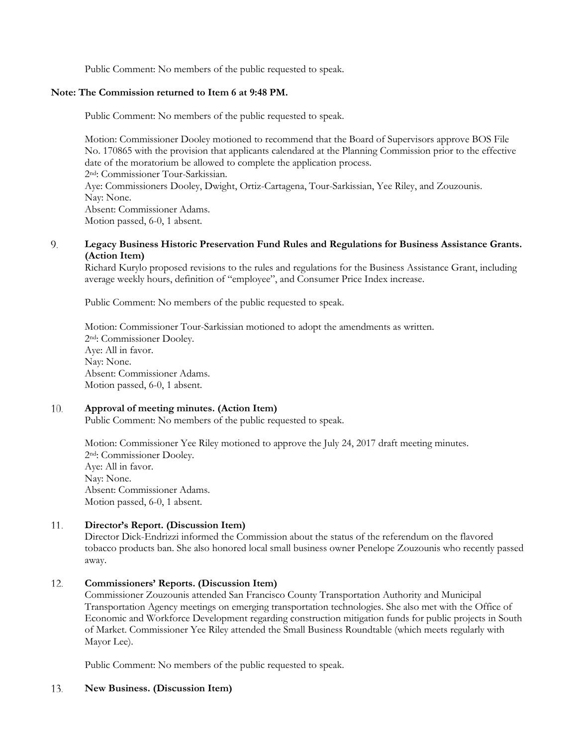Public Comment: No members of the public requested to speak.

# **Note: The Commission returned to Item 6 at 9:48 PM.**

Public Comment: No members of the public requested to speak.

Motion: Commissioner Dooley motioned to recommend that the Board of Supervisors approve BOS File No. 170865 with the provision that applicants calendared at the Planning Commission prior to the effective date of the moratorium be allowed to complete the application process. 2nd: Commissioner Tour-Sarkissian. Aye: Commissioners Dooley, Dwight, Ortiz-Cartagena, Tour-Sarkissian, Yee Riley, and Zouzounis. Nay: None. Absent: Commissioner Adams. Motion passed, 6-0, 1 absent.

### 9. **Legacy Business Historic Preservation Fund Rules and Regulations for Business Assistance Grants. (Action Item)**

Richard Kurylo proposed revisions to the rules and regulations for the Business Assistance Grant, including average weekly hours, definition of "employee", and Consumer Price Index increase.

Public Comment: No members of the public requested to speak.

Motion: Commissioner Tour-Sarkissian motioned to adopt the amendments as written. 2nd: Commissioner Dooley. Aye: All in favor. Nay: None. Absent: Commissioner Adams. Motion passed, 6-0, 1 absent.

### 10. **Approval of meeting minutes. (Action Item)**

Public Comment: No members of the public requested to speak.

Motion: Commissioner Yee Riley motioned to approve the July 24, 2017 draft meeting minutes. 2nd: Commissioner Dooley. Aye: All in favor. Nay: None. Absent: Commissioner Adams. Motion passed, 6-0, 1 absent.

### 11. **Director's Report. (Discussion Item)**

Director Dick-Endrizzi informed the Commission about the status of the referendum on the flavored tobacco products ban. She also honored local small business owner Penelope Zouzounis who recently passed away.

### 12. **Commissioners' Reports. (Discussion Item)**

Commissioner Zouzounis attended San Francisco County Transportation Authority and Municipal Transportation Agency meetings on emerging transportation technologies. She also met with the Office of Economic and Workforce Development regarding construction mitigation funds for public projects in South of Market. Commissioner Yee Riley attended the Small Business Roundtable (which meets regularly with Mayor Lee).

Public Comment: No members of the public requested to speak.

### 13. **New Business. (Discussion Item)**